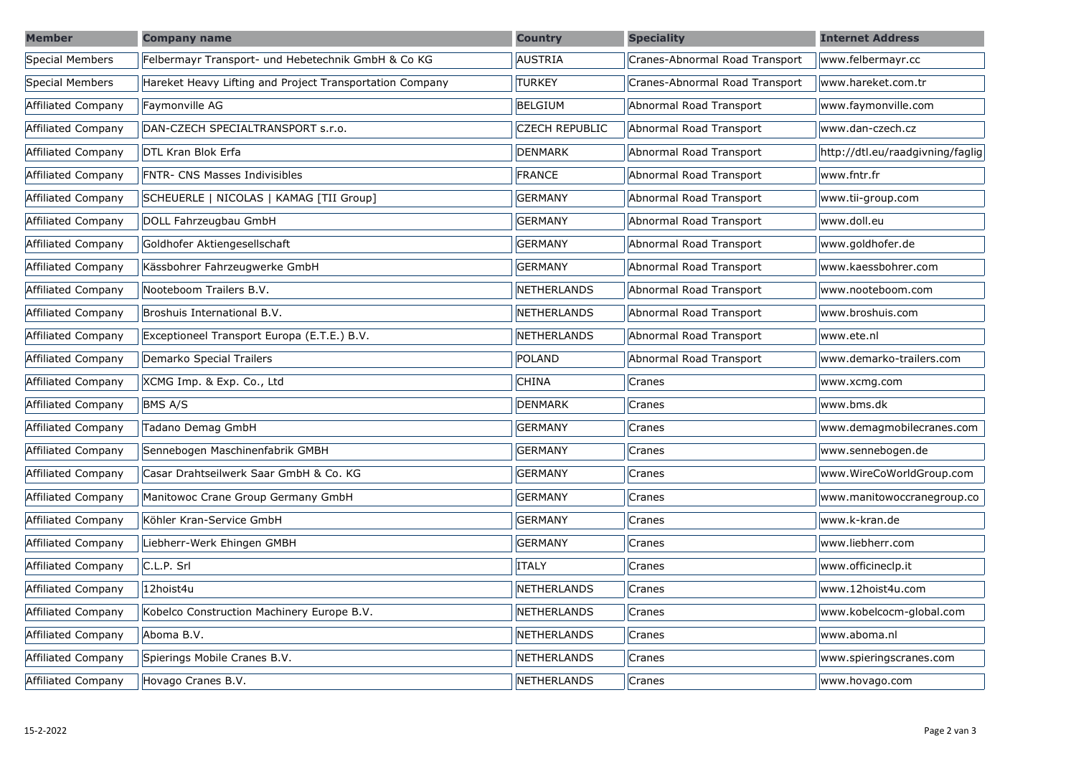| <b>Member</b>      | <b>Company name</b>                                      | <b>Country</b>        | <b>Speciality</b>              | <b>Internet Address</b>          |
|--------------------|----------------------------------------------------------|-----------------------|--------------------------------|----------------------------------|
| Special Members    | Felbermayr Transport- und Hebetechnik GmbH & Co KG       | <b>AUSTRIA</b>        | Cranes-Abnormal Road Transport | www.felbermayr.cc                |
| Special Members    | Hareket Heavy Lifting and Project Transportation Company | <b>TURKEY</b>         | Cranes-Abnormal Road Transport | www.hareket.com.tr               |
| Affiliated Company | Faymonville AG                                           | <b>BELGIUM</b>        | Abnormal Road Transport        | www.faymonville.com              |
| Affiliated Company | DAN-CZECH SPECIALTRANSPORT s.r.o.                        | <b>CZECH REPUBLIC</b> | Abnormal Road Transport        | www.dan-czech.cz                 |
| Affiliated Company | DTL Kran Blok Erfa                                       | <b>DENMARK</b>        | Abnormal Road Transport        | http://dtl.eu/raadgivning/faglig |
| Affiliated Company | <b>FNTR- CNS Masses Indivisibles</b>                     | <b>FRANCE</b>         | Abnormal Road Transport        | www.fntr.fr                      |
| Affiliated Company | SCHEUERLE   NICOLAS   KAMAG [TII Group]                  | <b>GERMANY</b>        | Abnormal Road Transport        | www.tii-group.com                |
| Affiliated Company | DOLL Fahrzeugbau GmbH                                    | <b>GERMANY</b>        | Abnormal Road Transport        | www.doll.eu                      |
| Affiliated Company | Goldhofer Aktiengesellschaft                             | <b>GERMANY</b>        | Abnormal Road Transport        | www.goldhofer.de                 |
| Affiliated Company | Kässbohrer Fahrzeugwerke GmbH                            | <b>GERMANY</b>        | Abnormal Road Transport        | www.kaessbohrer.com              |
| Affiliated Company | Nooteboom Trailers B.V.                                  | <b>NETHERLANDS</b>    | Abnormal Road Transport        | www.nooteboom.com                |
| Affiliated Company | Broshuis International B.V.                              | <b>NETHERLANDS</b>    | Abnormal Road Transport        | www.broshuis.com                 |
| Affiliated Company | Exceptioneel Transport Europa (E.T.E.) B.V.              | NETHERLANDS           | Abnormal Road Transport        | www.ete.nl                       |
| Affiliated Company | Demarko Special Trailers                                 | POLAND                | Abnormal Road Transport        | www.demarko-trailers.com         |
| Affiliated Company | XCMG Imp. & Exp. Co., Ltd                                | <b>CHINA</b>          | Cranes                         | www.xcmg.com                     |
| Affiliated Company | <b>BMS A/S</b>                                           | <b>DENMARK</b>        | Cranes                         | www.bms.dk                       |
| Affiliated Company | Tadano Demag GmbH                                        | <b>GERMANY</b>        | Cranes                         | www.demagmobilecranes.com        |
| Affiliated Company | Sennebogen Maschinenfabrik GMBH                          | <b>GERMANY</b>        | Cranes                         | www.sennebogen.de                |
| Affiliated Company | Casar Drahtseilwerk Saar GmbH & Co. KG                   | <b>GERMANY</b>        | Cranes                         | www.WireCoWorldGroup.com         |
| Affiliated Company | Manitowoc Crane Group Germany GmbH                       | <b>GERMANY</b>        | Cranes                         | www.manitowoccranegroup.co       |
| Affiliated Company | Köhler Kran-Service GmbH                                 | <b>GERMANY</b>        | Cranes                         | www.k-kran.de                    |
| Affiliated Company | Liebherr-Werk Ehingen GMBH                               | <b>GERMANY</b>        | Cranes                         | www.liebherr.com                 |
| Affiliated Company | C.L.P. Srl                                               | <b>ITALY</b>          | Cranes                         | www.officineclp.it               |
| Affiliated Company | 12hoist4u                                                | <b>NETHERLANDS</b>    | Cranes                         | www.12hoist4u.com                |
| Affiliated Company | Kobelco Construction Machinery Europe B.V.               | <b>NETHERLANDS</b>    | Cranes                         | www.kobelcocm-global.com         |
| Affiliated Company | Aboma B.V.                                               | <b>NETHERLANDS</b>    | Cranes                         | www.aboma.nl                     |
| Affiliated Company | Spierings Mobile Cranes B.V.                             | NETHERLANDS           | Cranes                         | www.spieringscranes.com          |
| Affiliated Company | Hovago Cranes B.V.                                       | <b>NETHERLANDS</b>    | Cranes                         | www.hovago.com                   |